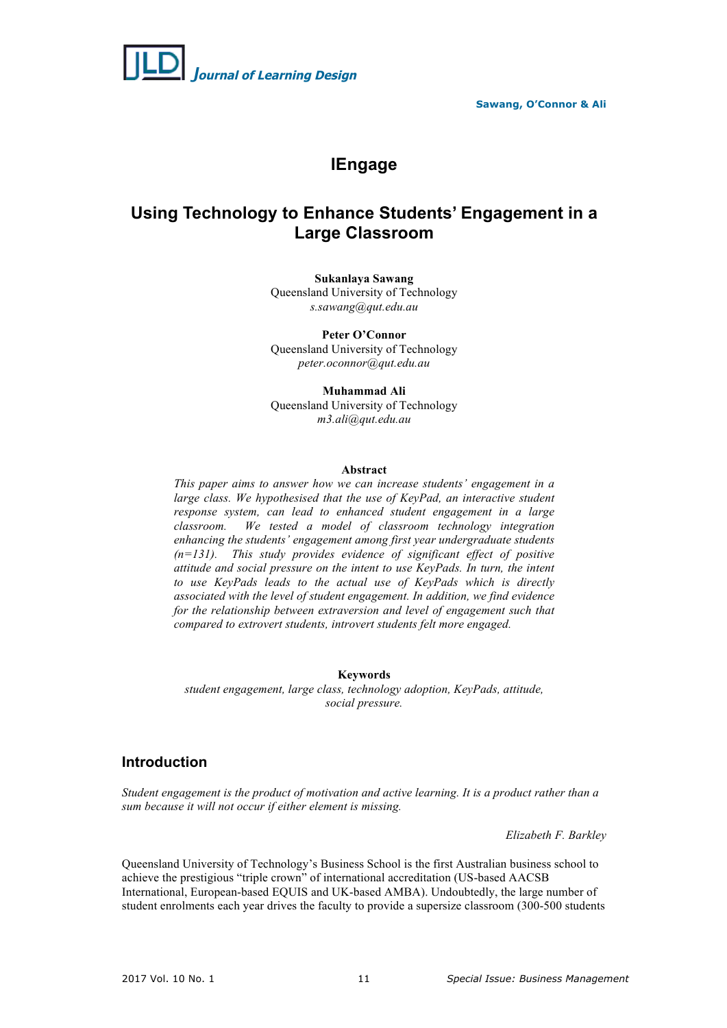

# **IEngage**

## **Using Technology to Enhance Students' Engagement in a Large Classroom**

**Sukanlaya Sawang** Queensland University of Technology *s.sawang@qut.edu.au*

**Peter O'Connor**  Queensland University of Technology *peter.oconnor@qut.edu.au*

**Muhammad Ali** 

Queensland University of Technology *m3.ali@qut.edu.au*

### **Abstract**

*This paper aims to answer how we can increase students' engagement in a*  large class. We hypothesised that the use of KeyPad, an interactive student *response system, can lead to enhanced student engagement in a large classroom. We tested a model of classroom technology integration enhancing the students' engagement among first year undergraduate students (n=131). This study provides evidence of significant effect of positive attitude and social pressure on the intent to use KeyPads. In turn, the intent to use KeyPads leads to the actual use of KeyPads which is directly associated with the level of student engagement. In addition, we find evidence for the relationship between extraversion and level of engagement such that compared to extrovert students, introvert students felt more engaged.*

### **Keywords**

*student engagement, large class, technology adoption, KeyPads, attitude, social pressure.*

## **Introduction**

*Student engagement is the product of motivation and active learning. It is a product rather than a sum because it will not occur if either element is missing.*

*Elizabeth F. Barkley*

Queensland University of Technology's Business School is the first Australian business school to achieve the prestigious "triple crown" of international accreditation (US-based AACSB International, European-based EQUIS and UK-based AMBA). Undoubtedly, the large number of student enrolments each year drives the faculty to provide a supersize classroom (300-500 students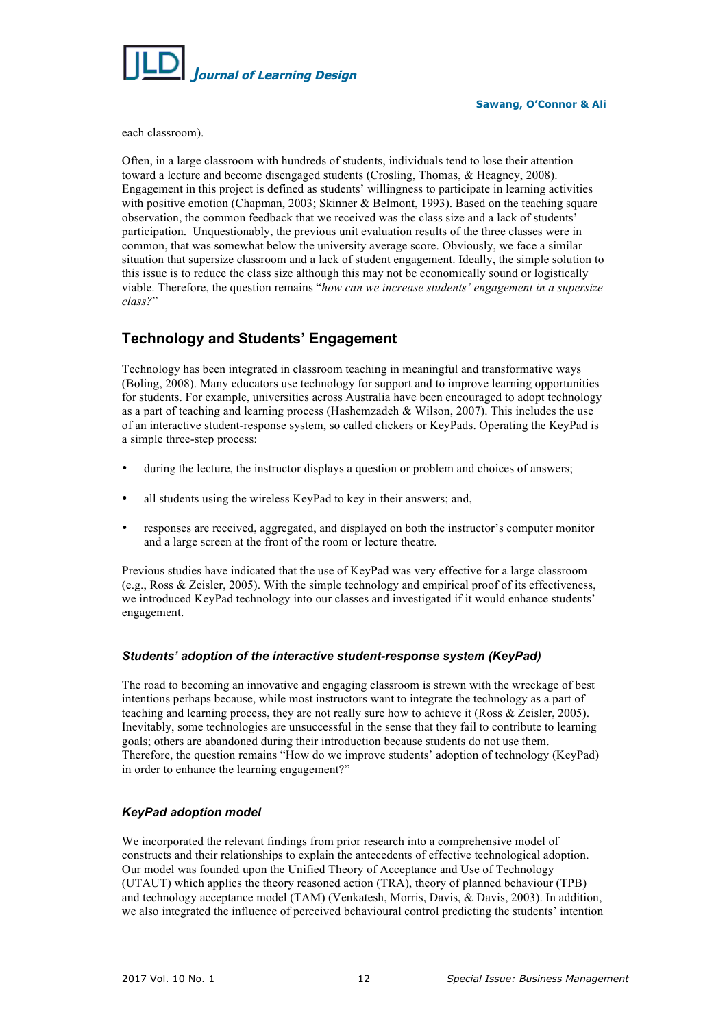

each classroom).

Often, in a large classroom with hundreds of students, individuals tend to lose their attention toward a lecture and become disengaged students (Crosling, Thomas, & Heagney, 2008). Engagement in this project is defined as students' willingness to participate in learning activities with positive emotion (Chapman, 2003; Skinner & Belmont, 1993). Based on the teaching square observation, the common feedback that we received was the class size and a lack of students' participation. Unquestionably, the previous unit evaluation results of the three classes were in common, that was somewhat below the university average score. Obviously, we face a similar situation that supersize classroom and a lack of student engagement. Ideally, the simple solution to this issue is to reduce the class size although this may not be economically sound or logistically viable. Therefore, the question remains "*how can we increase students' engagement in a supersize class?*"

## **Technology and Students' Engagement**

Technology has been integrated in classroom teaching in meaningful and transformative ways (Boling, 2008). Many educators use technology for support and to improve learning opportunities for students. For example, universities across Australia have been encouraged to adopt technology as a part of teaching and learning process (Hashemzadeh & Wilson, 2007). This includes the use of an interactive student-response system, so called clickers or KeyPads. Operating the KeyPad is a simple three-step process:

- during the lecture, the instructor displays a question or problem and choices of answers;
- all students using the wireless KeyPad to key in their answers; and,
- responses are received, aggregated, and displayed on both the instructor's computer monitor and a large screen at the front of the room or lecture theatre.

Previous studies have indicated that the use of KeyPad was very effective for a large classroom (e.g., Ross & Zeisler, 2005). With the simple technology and empirical proof of its effectiveness, we introduced KeyPad technology into our classes and investigated if it would enhance students' engagement.

## *Students' adoption of the interactive student-response system (KeyPad)*

The road to becoming an innovative and engaging classroom is strewn with the wreckage of best intentions perhaps because, while most instructors want to integrate the technology as a part of teaching and learning process, they are not really sure how to achieve it (Ross & Zeisler, 2005). Inevitably, some technologies are unsuccessful in the sense that they fail to contribute to learning goals; others are abandoned during their introduction because students do not use them. Therefore, the question remains "How do we improve students' adoption of technology (KeyPad) in order to enhance the learning engagement?"

## *KeyPad adoption model*

We incorporated the relevant findings from prior research into a comprehensive model of constructs and their relationships to explain the antecedents of effective technological adoption. Our model was founded upon the Unified Theory of Acceptance and Use of Technology (UTAUT) which applies the theory reasoned action (TRA), theory of planned behaviour (TPB) and technology acceptance model (TAM) (Venkatesh, Morris, Davis, & Davis, 2003). In addition, we also integrated the influence of perceived behavioural control predicting the students' intention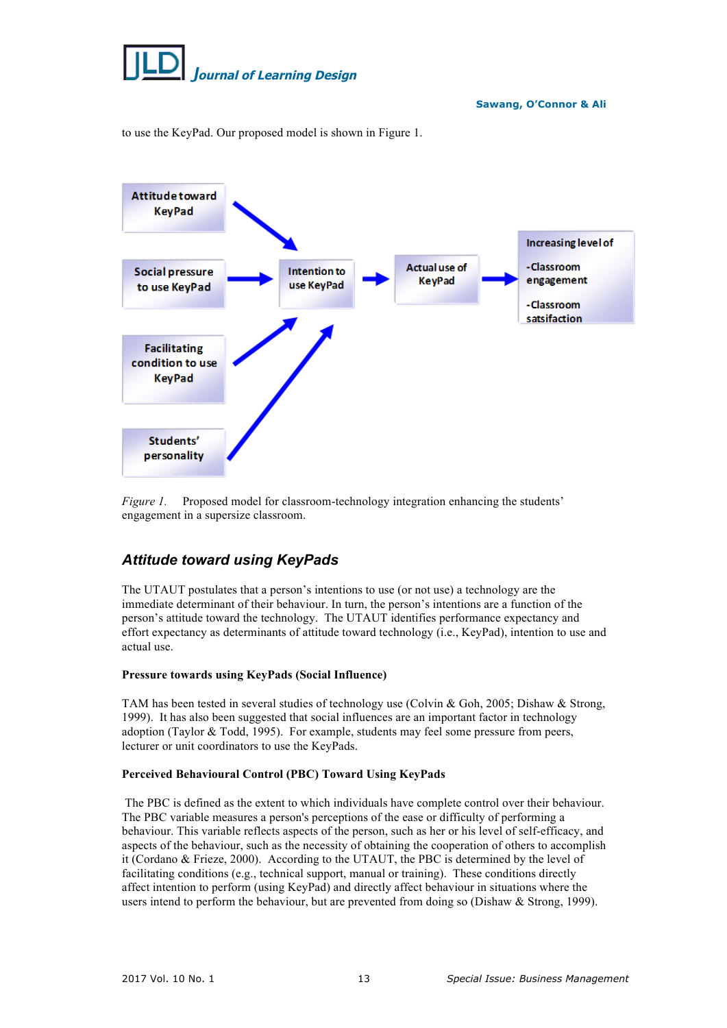

to use the KeyPad. Our proposed model is shown in Figure 1.



*Figure 1.* Proposed model for classroom-technology integration enhancing the students' engagement in a supersize classroom.

## *Attitude toward using KeyPads*

The UTAUT postulates that a person's intentions to use (or not use) a technology are the immediate determinant of their behaviour. In turn, the person's intentions are a function of the person's attitude toward the technology. The UTAUT identifies performance expectancy and effort expectancy as determinants of attitude toward technology (i.e., KeyPad), intention to use and actual use.

## **Pressure towards using KeyPads (Social Influence)**

TAM has been tested in several studies of technology use (Colvin & Goh, 2005; Dishaw & Strong, 1999). It has also been suggested that social influences are an important factor in technology adoption (Taylor & Todd, 1995). For example, students may feel some pressure from peers, lecturer or unit coordinators to use the KeyPads.

## **Perceived Behavioural Control (PBC) Toward Using KeyPads**

The PBC is defined as the extent to which individuals have complete control over their behaviour. The PBC variable measures a person's perceptions of the ease or difficulty of performing a behaviour. This variable reflects aspects of the person, such as her or his level of self-efficacy, and aspects of the behaviour, such as the necessity of obtaining the cooperation of others to accomplish it (Cordano & Frieze, 2000). According to the UTAUT, the PBC is determined by the level of facilitating conditions (e.g., technical support, manual or training). These conditions directly affect intention to perform (using KeyPad) and directly affect behaviour in situations where the users intend to perform the behaviour, but are prevented from doing so (Dishaw & Strong, 1999).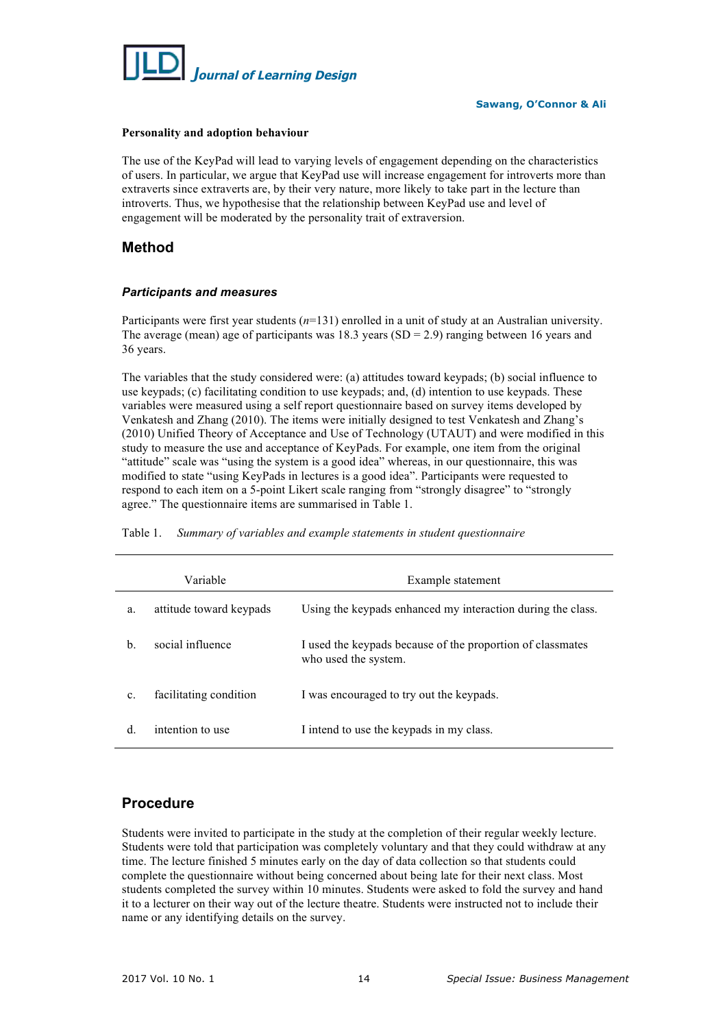

#### **Personality and adoption behaviour**

The use of the KeyPad will lead to varying levels of engagement depending on the characteristics of users. In particular, we argue that KeyPad use will increase engagement for introverts more than extraverts since extraverts are, by their very nature, more likely to take part in the lecture than introverts. Thus, we hypothesise that the relationship between KeyPad use and level of engagement will be moderated by the personality trait of extraversion.

## **Method**

## *Participants and measures*

Participants were first year students (*n*=131) enrolled in a unit of study at an Australian university. The average (mean) age of participants was 18.3 years (SD = 2.9) ranging between 16 years and 36 years.

The variables that the study considered were: (a) attitudes toward keypads; (b) social influence to use keypads; (c) facilitating condition to use keypads; and, (d) intention to use keypads. These variables were measured using a self report questionnaire based on survey items developed by Venkatesh and Zhang (2010). The items were initially designed to test Venkatesh and Zhang's (2010) Unified Theory of Acceptance and Use of Technology (UTAUT) and were modified in this study to measure the use and acceptance of KeyPads. For example, one item from the original "attitude" scale was "using the system is a good idea" whereas, in our questionnaire, this was modified to state "using KeyPads in lectures is a good idea". Participants were requested to respond to each item on a 5-point Likert scale ranging from "strongly disagree" to "strongly agree." The questionnaire items are summarised in Table 1.

|                | Variable                | Example statement                                                                  |  |  |  |  |  |
|----------------|-------------------------|------------------------------------------------------------------------------------|--|--|--|--|--|
| a.             | attitude toward keypads | Using the keypads enhanced my interaction during the class.                        |  |  |  |  |  |
| $\mathbf{b}$ . | social influence        | I used the keypads because of the proportion of classmates<br>who used the system. |  |  |  |  |  |
| $\mathbf{c}$ . | facilitating condition  | I was encouraged to try out the keypads.                                           |  |  |  |  |  |
| d.             | intention to use        | I intend to use the keypads in my class.                                           |  |  |  |  |  |

Table 1. *Summary of variables and example statements in student questionnaire*

## **Procedure**

Students were invited to participate in the study at the completion of their regular weekly lecture. Students were told that participation was completely voluntary and that they could withdraw at any time. The lecture finished 5 minutes early on the day of data collection so that students could complete the questionnaire without being concerned about being late for their next class. Most students completed the survey within 10 minutes. Students were asked to fold the survey and hand it to a lecturer on their way out of the lecture theatre. Students were instructed not to include their name or any identifying details on the survey.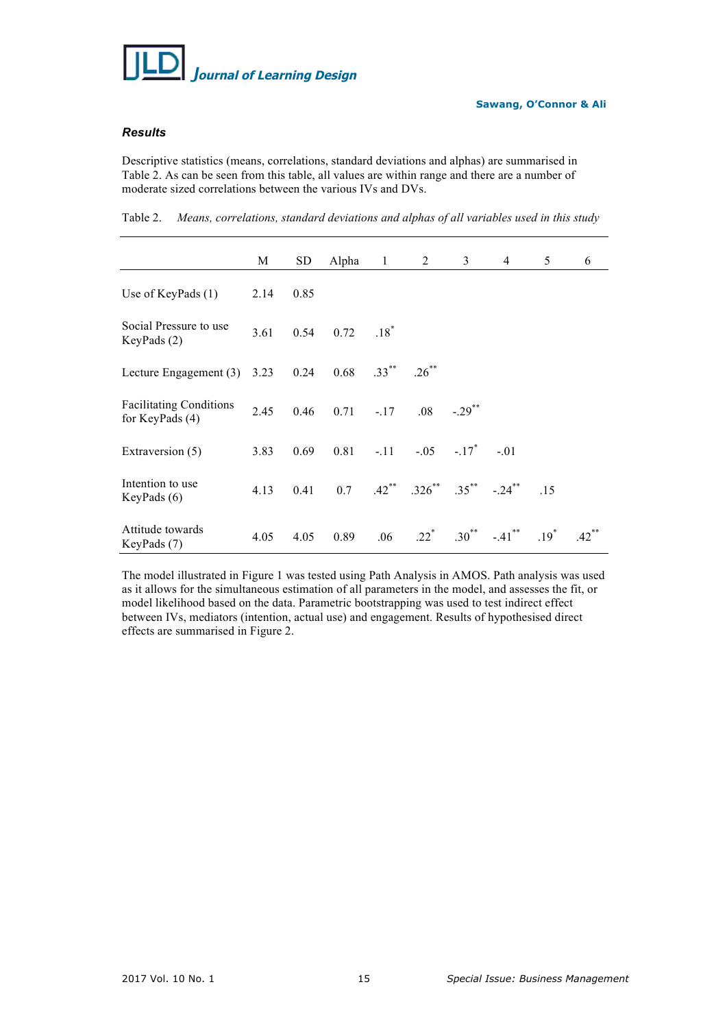

## *Results*

Descriptive statistics (means, correlations, standard deviations and alphas) are summarised in Table 2. As can be seen from this table, all values are within range and there are a number of moderate sized correlations between the various IVs and DVs.

Table 2. *Means, correlations, standard deviations and alphas of all variables used in this study*

|                                                     | M    | <b>SD</b> | Alpha | $1 \quad \blacksquare$ | 2                                 | 3                    | $\overline{4}$ | 5      | 6        |
|-----------------------------------------------------|------|-----------|-------|------------------------|-----------------------------------|----------------------|----------------|--------|----------|
| Use of KeyPads $(1)$                                | 2.14 | 0.85      |       |                        |                                   |                      |                |        |          |
| Social Pressure to use<br>KeyPads (2)               | 3.61 | 0.54      | 0.72  | $.18*$                 |                                   |                      |                |        |          |
| Lecture Engagement (3)                              | 3.23 | 0.24      | 0.68  | $.33***$               | $.26***$                          |                      |                |        |          |
| <b>Facilitating Conditions</b><br>for KeyPads $(4)$ | 2.45 | 0.46      | 0.71  | $-.17$                 | .08                               | $-.29$ <sup>**</sup> |                |        |          |
| Extraversion (5)                                    | 3.83 | 0.69      | 0.81  | $-.11$ $-.11$          |                                   | $-.05-.17$           | $-.01$         |        |          |
| Intention to use<br>KeyPads $(6)$                   | 4.13 | 0.41      | 0.7   |                        | $.42^{**}$ $.326^{**}$ $.35^{**}$ |                      | $-.24$ **      | .15    |          |
| Attitude towards<br>KeyPads (7)                     | 4.05 | 4.05      | 0.89  | .06                    | $.22$ <sup>*</sup>                | $.30^{**}$           | $-.41$ **      | $.19*$ | $.42$ ** |

The model illustrated in Figure 1 was tested using Path Analysis in AMOS. Path analysis was used as it allows for the simultaneous estimation of all parameters in the model, and assesses the fit, or model likelihood based on the data. Parametric bootstrapping was used to test indirect effect between IVs, mediators (intention, actual use) and engagement. Results of hypothesised direct effects are summarised in Figure 2.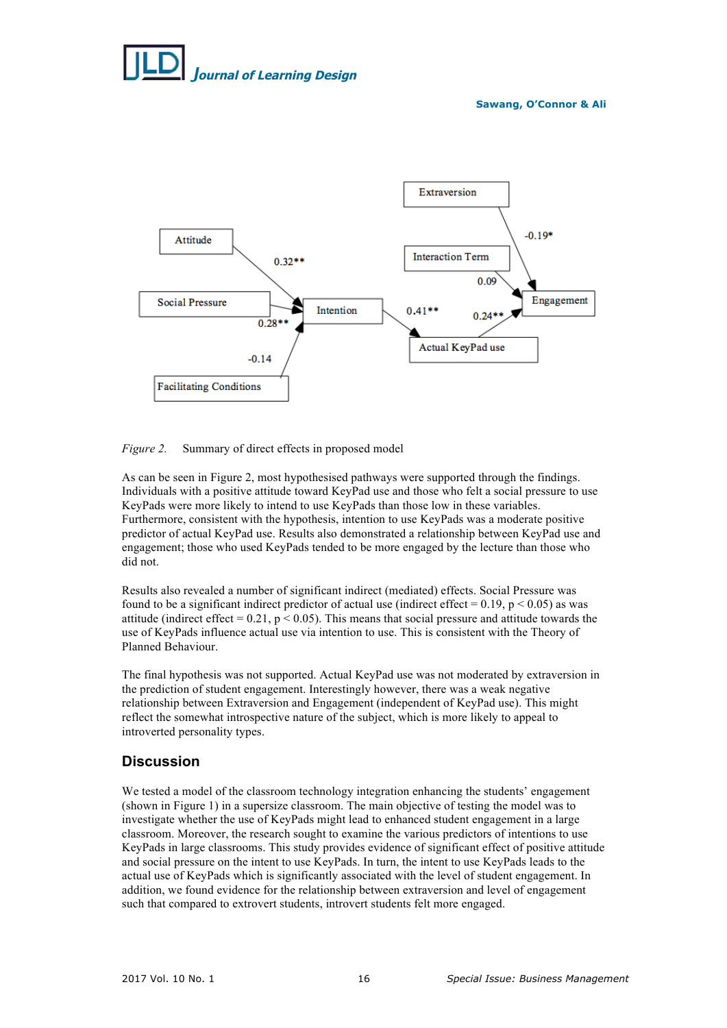# *J***ournal of Learning Design**

**Sawang, O'Connor & Ali**



## *Figure 2.* Summary of direct effects in proposed model

As can be seen in Figure 2, most hypothesised pathways were supported through the findings. Individuals with a positive attitude toward KeyPad use and those who felt a social pressure to use KeyPads were more likely to intend to use KeyPads than those low in these variables. Furthermore, consistent with the hypothesis, intention to use KeyPads was a moderate positive predictor of actual KeyPad use. Results also demonstrated a relationship between KeyPad use and engagement; those who used KeyPads tended to be more engaged by the lecture than those who did not.

Results also revealed a number of significant indirect (mediated) effects. Social Pressure was found to be a significant indirect predictor of actual use (indirect effect =  $0.19$ , p <  $0.05$ ) as was attitude (indirect effect =  $0.21$ , p <  $0.05$ ). This means that social pressure and attitude towards the use of KeyPads influence actual use via intention to use. This is consistent with the Theory of Planned Behaviour.

The final hypothesis was not supported. Actual KeyPad use was not moderated by extraversion in the prediction of student engagement. Interestingly however, there was a weak negative relationship between Extraversion and Engagement (independent of KeyPad use). This might reflect the somewhat introspective nature of the subject, which is more likely to appeal to introverted personality types.

## **Discussion**

We tested a model of the classroom technology integration enhancing the students' engagement (shown in Figure 1) in a supersize classroom. The main objective of testing the model was to investigate whether the use of KeyPads might lead to enhanced student engagement in a large classroom. Moreover, the research sought to examine the various predictors of intentions to use KeyPads in large classrooms. This study provides evidence of significant effect of positive attitude and social pressure on the intent to use KeyPads. In turn, the intent to use KeyPads leads to the actual use of KeyPads which is significantly associated with the level of student engagement. In addition, we found evidence for the relationship between extraversion and level of engagement such that compared to extrovert students, introvert students felt more engaged.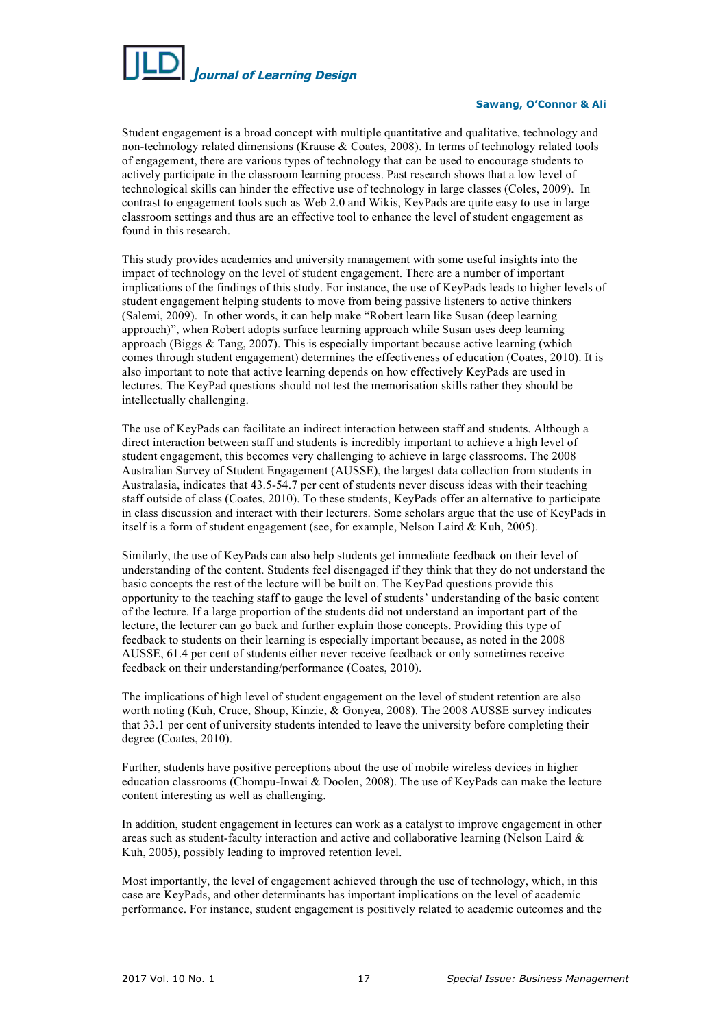

#### **Sawang, O'Connor & Ali**

Student engagement is a broad concept with multiple quantitative and qualitative, technology and non-technology related dimensions (Krause & Coates, 2008). In terms of technology related tools of engagement, there are various types of technology that can be used to encourage students to actively participate in the classroom learning process. Past research shows that a low level of technological skills can hinder the effective use of technology in large classes (Coles, 2009). In contrast to engagement tools such as Web 2.0 and Wikis, KeyPads are quite easy to use in large classroom settings and thus are an effective tool to enhance the level of student engagement as found in this research.

This study provides academics and university management with some useful insights into the impact of technology on the level of student engagement. There are a number of important implications of the findings of this study. For instance, the use of KeyPads leads to higher levels of student engagement helping students to move from being passive listeners to active thinkers (Salemi, 2009). In other words, it can help make "Robert learn like Susan (deep learning approach)", when Robert adopts surface learning approach while Susan uses deep learning approach (Biggs & Tang, 2007). This is especially important because active learning (which comes through student engagement) determines the effectiveness of education (Coates, 2010). It is also important to note that active learning depends on how effectively KeyPads are used in lectures. The KeyPad questions should not test the memorisation skills rather they should be intellectually challenging.

The use of KeyPads can facilitate an indirect interaction between staff and students. Although a direct interaction between staff and students is incredibly important to achieve a high level of student engagement, this becomes very challenging to achieve in large classrooms. The 2008 Australian Survey of Student Engagement (AUSSE), the largest data collection from students in Australasia, indicates that 43.5-54.7 per cent of students never discuss ideas with their teaching staff outside of class (Coates, 2010). To these students, KeyPads offer an alternative to participate in class discussion and interact with their lecturers. Some scholars argue that the use of KeyPads in itself is a form of student engagement (see, for example, Nelson Laird & Kuh, 2005).

Similarly, the use of KeyPads can also help students get immediate feedback on their level of understanding of the content. Students feel disengaged if they think that they do not understand the basic concepts the rest of the lecture will be built on. The KeyPad questions provide this opportunity to the teaching staff to gauge the level of students' understanding of the basic content of the lecture. If a large proportion of the students did not understand an important part of the lecture, the lecturer can go back and further explain those concepts. Providing this type of feedback to students on their learning is especially important because, as noted in the 2008 AUSSE, 61.4 per cent of students either never receive feedback or only sometimes receive feedback on their understanding/performance (Coates, 2010).

The implications of high level of student engagement on the level of student retention are also worth noting (Kuh, Cruce, Shoup, Kinzie, & Gonyea, 2008). The 2008 AUSSE survey indicates that 33.1 per cent of university students intended to leave the university before completing their degree (Coates, 2010).

Further, students have positive perceptions about the use of mobile wireless devices in higher education classrooms (Chompu-Inwai & Doolen, 2008). The use of KeyPads can make the lecture content interesting as well as challenging.

In addition, student engagement in lectures can work as a catalyst to improve engagement in other areas such as student-faculty interaction and active and collaborative learning (Nelson Laird & Kuh, 2005), possibly leading to improved retention level.

Most importantly, the level of engagement achieved through the use of technology, which, in this case are KeyPads, and other determinants has important implications on the level of academic performance. For instance, student engagement is positively related to academic outcomes and the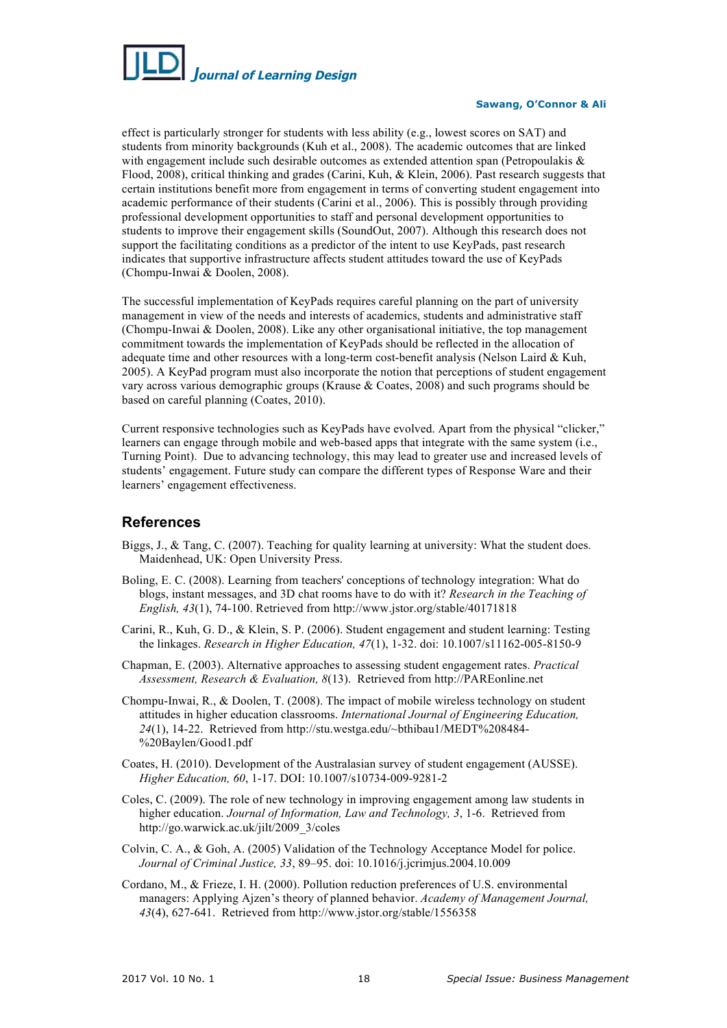

#### **Sawang, O'Connor & Ali**

effect is particularly stronger for students with less ability (e.g., lowest scores on SAT) and students from minority backgrounds (Kuh et al., 2008). The academic outcomes that are linked with engagement include such desirable outcomes as extended attention span (Petropoulakis  $\&$ Flood, 2008), critical thinking and grades (Carini, Kuh, & Klein, 2006). Past research suggests that certain institutions benefit more from engagement in terms of converting student engagement into academic performance of their students (Carini et al., 2006). This is possibly through providing professional development opportunities to staff and personal development opportunities to students to improve their engagement skills (SoundOut, 2007). Although this research does not support the facilitating conditions as a predictor of the intent to use KeyPads, past research indicates that supportive infrastructure affects student attitudes toward the use of KeyPads (Chompu-Inwai & Doolen, 2008).

The successful implementation of KeyPads requires careful planning on the part of university management in view of the needs and interests of academics, students and administrative staff (Chompu-Inwai & Doolen, 2008). Like any other organisational initiative, the top management commitment towards the implementation of KeyPads should be reflected in the allocation of adequate time and other resources with a long-term cost-benefit analysis (Nelson Laird & Kuh, 2005). A KeyPad program must also incorporate the notion that perceptions of student engagement vary across various demographic groups (Krause & Coates, 2008) and such programs should be based on careful planning (Coates, 2010).

Current responsive technologies such as KeyPads have evolved. Apart from the physical "clicker," learners can engage through mobile and web-based apps that integrate with the same system (i.e., Turning Point). Due to advancing technology, this may lead to greater use and increased levels of students' engagement. Future study can compare the different types of Response Ware and their learners' engagement effectiveness.

## **References**

- Biggs, J., & Tang, C. (2007). Teaching for quality learning at university: What the student does. Maidenhead, UK: Open University Press.
- Boling, E. C. (2008). Learning from teachers' conceptions of technology integration: What do blogs, instant messages, and 3D chat rooms have to do with it? *Research in the Teaching of English, 43*(1), 74-100. Retrieved from http://www.jstor.org/stable/40171818
- Carini, R., Kuh, G. D., & Klein, S. P. (2006). Student engagement and student learning: Testing the linkages. *Research in Higher Education, 47*(1), 1-32. doi: 10.1007/s11162-005-8150-9
- Chapman, E. (2003). Alternative approaches to assessing student engagement rates. *Practical Assessment, Research & Evaluation, 8*(13). Retrieved from http://PAREonline.net
- Chompu-Inwai, R., & Doolen, T. (2008). The impact of mobile wireless technology on student attitudes in higher education classrooms. *International Journal of Engineering Education, 24*(1), 14-22. Retrieved from http://stu.westga.edu/~bthibau1/MEDT%208484- %20Baylen/Good1.pdf
- Coates, H. (2010). Development of the Australasian survey of student engagement (AUSSE). *Higher Education, 60*, 1-17. DOI: 10.1007/s10734-009-9281-2
- Coles, C. (2009). The role of new technology in improving engagement among law students in higher education. *Journal of Information, Law and Technology, 3*, 1-6. Retrieved from http://go.warwick.ac.uk/jilt/2009\_3/coles
- Colvin, C. A., & Goh, A. (2005) Validation of the Technology Acceptance Model for police. *Journal of Criminal Justice, 33*, 89–95. doi: 10.1016/j.jcrimjus.2004.10.009
- Cordano, M., & Frieze, I. H. (2000). Pollution reduction preferences of U.S. environmental managers: Applying Ajzen's theory of planned behavior. *Academy of Management Journal, 43*(4), 627-641. Retrieved from http://www.jstor.org/stable/1556358